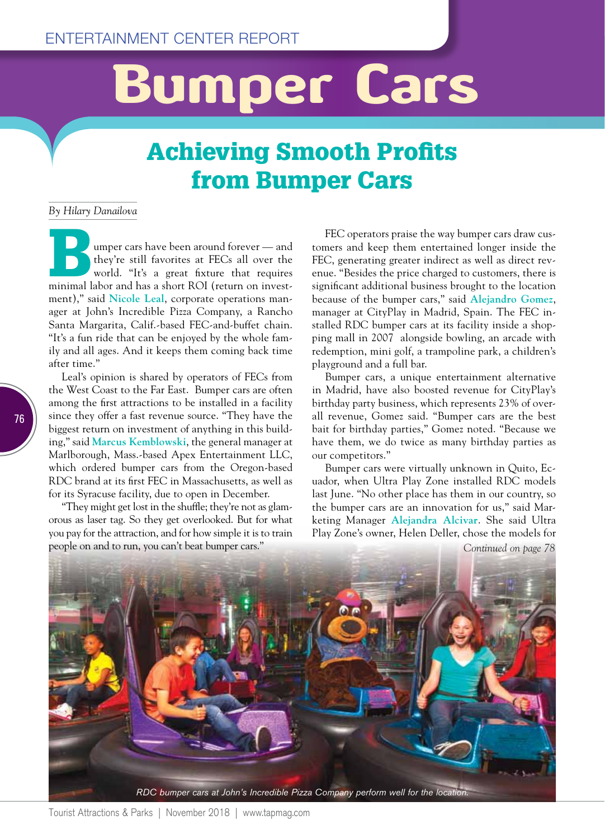## Bumper Cars

## Achieving Smooth Profits from Bumper Cars

*By Hilary Danailova*

**Bumper cars have been around forever — and they're still favorites at FECs all over the world. "It's a great fixture that requires minimal labor and has a short ROI (return on invest**they're still favorites at FECs all over the world. "It's a great fixture that requires ment)," said **Nicole Leal**, corporate operations manager at John's Incredible Pizza Company, a Rancho Santa Margarita, Calif.-based FEC-and-buffet chain. "It's a fun ride that can be enjoyed by the whole family and all ages. And it keeps them coming back time after time."

Leal's opinion is shared by operators of FECs from the West Coast to the Far East. Bumper cars are often among the first attractions to be installed in a facility since they offer a fast revenue source. "They have the biggest return on investment of anything in this building," said **Marcus Kemblowski**, the general manager at Marlborough, Mass.-based Apex Entertainment LLC, which ordered bumper cars from the Oregon-based RDC brand at its first FEC in Massachusetts, as well as for its Syracuse facility, due to open in December.

"They might get lost in the shuffle; they're not as glamorous as laser tag. So they get overlooked. But for what you pay for the attraction, and for how simple it is to train people on and to run, you can't beat bumper cars."

FEC operators praise the way bumper cars draw customers and keep them entertained longer inside the FEC, generating greater indirect as well as direct revenue. "Besides the price charged to customers, there is significant additional business brought to the location because of the bumper cars," said **Alejandro Gomez**, manager at CityPlay in Madrid, Spain. The FEC installed RDC bumper cars at its facility inside a shopping mall in 2007 alongside bowling, an arcade with redemption, mini golf, a trampoline park, a children's playground and a full bar.

Bumper cars, a unique entertainment alternative in Madrid, have also boosted revenue for CityPlay's birthday party business, which represents 23% of overall revenue, Gomez said. "Bumper cars are the best bait for birthday parties," Gomez noted. "Because we have them, we do twice as many birthday parties as our competitors."

Bumper cars were virtually unknown in Quito, Ecuador, when Ultra Play Zone installed RDC models last June. "No other place has them in our country, so the bumper cars are an innovation for us," said Marketing Manager **Alejandra Alcivar**. She said Ultra Play Zone's owner, Helen Deller, chose the models for

*Continued on page 78*